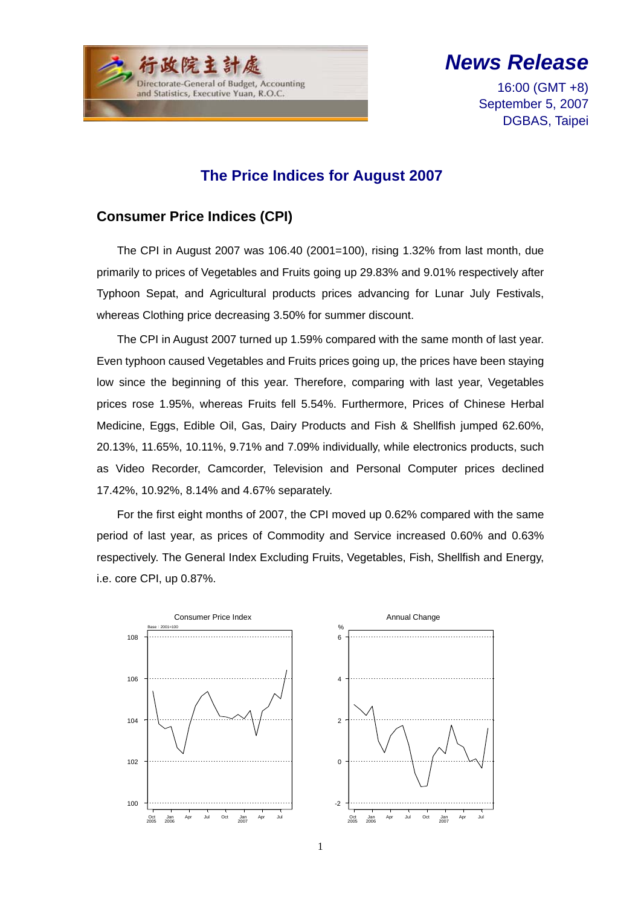

*News Release*

16:00 (GMT +8) September 5, 2007 DGBAS, Taipei

### **The Price Indices for August 2007**

#### **Consumer Price Indices (CPI)**

The CPI in August 2007 was 106.40 (2001=100), rising 1.32% from last month, due primarily to prices of Vegetables and Fruits going up 29.83% and 9.01% respectively after Typhoon Sepat, and Agricultural products prices advancing for Lunar July Festivals, whereas Clothing price decreasing 3.50% for summer discount.

The CPI in August 2007 turned up 1.59% compared with the same month of last year. Even typhoon caused Vegetables and Fruits prices going up, the prices have been staying low since the beginning of this year. Therefore, comparing with last year, Vegetables prices rose 1.95%, whereas Fruits fell 5.54%. Furthermore, Prices of Chinese Herbal Medicine, Eggs, Edible Oil, Gas, Dairy Products and Fish & Shellfish jumped 62.60%, 20.13%, 11.65%, 10.11%, 9.71% and 7.09% individually, while electronics products, such as Video Recorder, Camcorder, Television and Personal Computer prices declined 17.42%, 10.92%, 8.14% and 4.67% separately.

For the first eight months of 2007, the CPI moved up 0.62% compared with the same period of last year, as prices of Commodity and Service increased 0.60% and 0.63% respectively. The General Index Excluding Fruits, Vegetables, Fish, Shellfish and Energy, i.e. core CPI, up 0.87%.

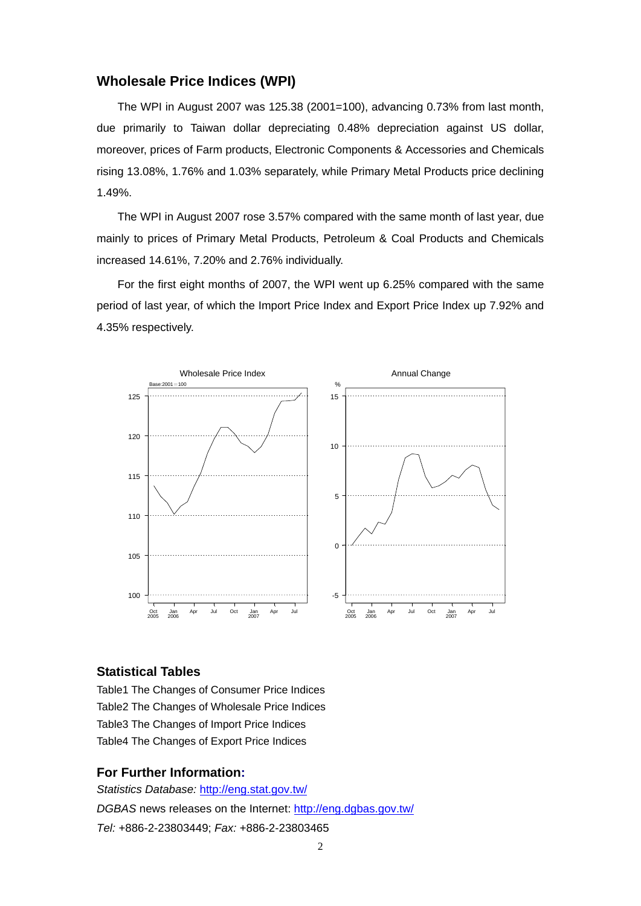#### **Wholesale Price Indices (WPI)**

The WPI in August 2007 was 125.38 (2001=100), advancing 0.73% from last month, due primarily to Taiwan dollar depreciating 0.48% depreciation against US dollar, moreover, prices of Farm products, Electronic Components & Accessories and Chemicals rising 13.08%, 1.76% and 1.03% separately, while Primary Metal Products price declining 1.49%.

The WPI in August 2007 rose 3.57% compared with the same month of last year, due mainly to prices of Primary Metal Products, Petroleum & Coal Products and Chemicals increased 14.61%, 7.20% and 2.76% individually.

For the first eight months of 2007, the WPI went up 6.25% compared with the same period of last year, of which the Import Price Index and Export Price Index up 7.92% and 4.35% respectively.



#### **Statistical Tables**

Table1 The Changes of Consumer Price Indices Table2 The Changes of Wholesale Price Indices Table3 The Changes of Import Price Indices Table4 The Changes of Export Price Indices

#### **For Further Information:**

*Statistics Database:* http://eng.stat.gov.tw/ *DGBAS* news releases on the Internet: http://eng.dgbas.gov.tw/ *Tel:* +886-2-23803449; *Fax:* +886-2-23803465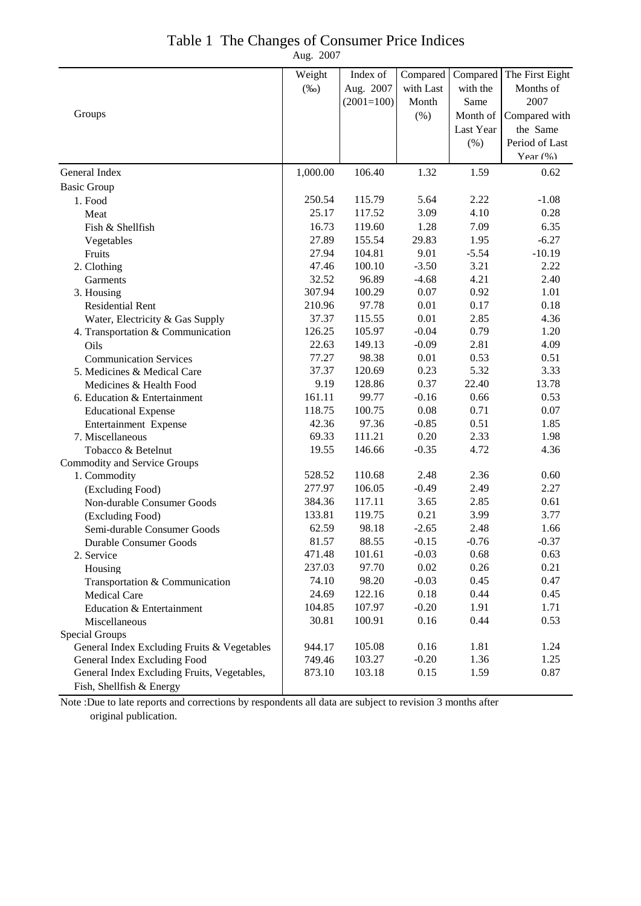| Table 1 The Changes of Consumer Price Indices |  |
|-----------------------------------------------|--|
|                                               |  |

Aug. 2007

|                                             | Weight   | Index of     | Compared  | Compared  | The First Eight |
|---------------------------------------------|----------|--------------|-----------|-----------|-----------------|
|                                             | $(\%0)$  | Aug. 2007    | with Last | with the  | Months of       |
|                                             |          | $(2001=100)$ | Month     | Same      | 2007            |
| Groups                                      |          |              | (%)       | Month of  | Compared with   |
|                                             |          |              |           | Last Year | the Same        |
|                                             |          |              |           | (%)       | Period of Last  |
|                                             |          |              |           |           | Year (%)        |
| General Index                               | 1,000.00 | 106.40       | 1.32      | 1.59      | 0.62            |
| <b>Basic Group</b>                          |          |              |           |           |                 |
| 1. Food                                     | 250.54   | 115.79       | 5.64      | 2.22      | $-1.08$         |
| Meat                                        | 25.17    | 117.52       | 3.09      | 4.10      | 0.28            |
| Fish & Shellfish                            | 16.73    | 119.60       | 1.28      | 7.09      | 6.35            |
| Vegetables                                  | 27.89    | 155.54       | 29.83     | 1.95      | $-6.27$         |
| Fruits                                      | 27.94    | 104.81       | 9.01      | $-5.54$   | $-10.19$        |
| 2. Clothing                                 | 47.46    | 100.10       | $-3.50$   | 3.21      | 2.22            |
| Garments                                    | 32.52    | 96.89        | $-4.68$   | 4.21      | 2.40            |
| 3. Housing                                  | 307.94   | 100.29       | 0.07      | 0.92      | 1.01            |
| <b>Residential Rent</b>                     | 210.96   | 97.78        | 0.01      | 0.17      | 0.18            |
| Water, Electricity & Gas Supply             | 37.37    | 115.55       | 0.01      | 2.85      | 4.36            |
| 4. Transportation & Communication           | 126.25   | 105.97       | $-0.04$   | 0.79      | 1.20            |
| Oils                                        | 22.63    | 149.13       | $-0.09$   | 2.81      | 4.09            |
| <b>Communication Services</b>               | 77.27    | 98.38        | 0.01      | 0.53      | 0.51            |
| 5. Medicines & Medical Care                 | 37.37    | 120.69       | 0.23      | 5.32      | 3.33            |
| Medicines & Health Food                     | 9.19     | 128.86       | 0.37      | 22.40     | 13.78           |
| 6. Education & Entertainment                | 161.11   | 99.77        | $-0.16$   | 0.66      | 0.53            |
| <b>Educational Expense</b>                  | 118.75   | 100.75       | 0.08      | 0.71      | 0.07            |
| Entertainment Expense                       | 42.36    | 97.36        | $-0.85$   | 0.51      | 1.85            |
| 7. Miscellaneous                            | 69.33    | 111.21       | 0.20      | 2.33      | 1.98            |
| Tobacco & Betelnut                          | 19.55    | 146.66       | $-0.35$   | 4.72      | 4.36            |
| <b>Commodity and Service Groups</b>         |          |              |           |           |                 |
| 1. Commodity                                | 528.52   | 110.68       | 2.48      | 2.36      | 0.60            |
| (Excluding Food)                            | 277.97   | 106.05       | $-0.49$   | 2.49      | 2.27            |
| Non-durable Consumer Goods                  | 384.36   | 117.11       | 3.65      | 2.85      | 0.61            |
| (Excluding Food)                            | 133.81   | 119.75       | 0.21      | 3.99      | 3.77            |
| Semi-durable Consumer Goods                 | 62.59    | 98.18        | $-2.65$   | 2.48      | 1.66            |
| Durable Consumer Goods                      | 81.57    | 88.55        | $-0.15$   | $-0.76$   | $-0.37$         |
| 2. Service                                  | 471.48   | 101.61       | $-0.03$   | 0.68      | 0.63            |
| Housing                                     | 237.03   | 97.70        | 0.02      | 0.26      | 0.21            |
| Transportation & Communication              | 74.10    | 98.20        | $-0.03$   | 0.45      | 0.47            |
| Medical Care                                | 24.69    | 122.16       | 0.18      | 0.44      | 0.45            |
| Education & Entertainment                   | 104.85   | 107.97       | $-0.20$   | 1.91      | 1.71            |
| Miscellaneous                               | 30.81    | 100.91       | 0.16      | 0.44      | 0.53            |
| <b>Special Groups</b>                       |          |              |           |           |                 |
| General Index Excluding Fruits & Vegetables | 944.17   | 105.08       | 0.16      | 1.81      | 1.24            |
| General Index Excluding Food                | 749.46   | 103.27       | $-0.20$   | 1.36      | 1.25            |
| General Index Excluding Fruits, Vegetables, | 873.10   | 103.18       | 0.15      | 1.59      | 0.87            |
| Fish, Shellfish & Energy                    |          |              |           |           |                 |

Note :Due to late reports and corrections by respondents all data are subject to revision 3 months after original publication.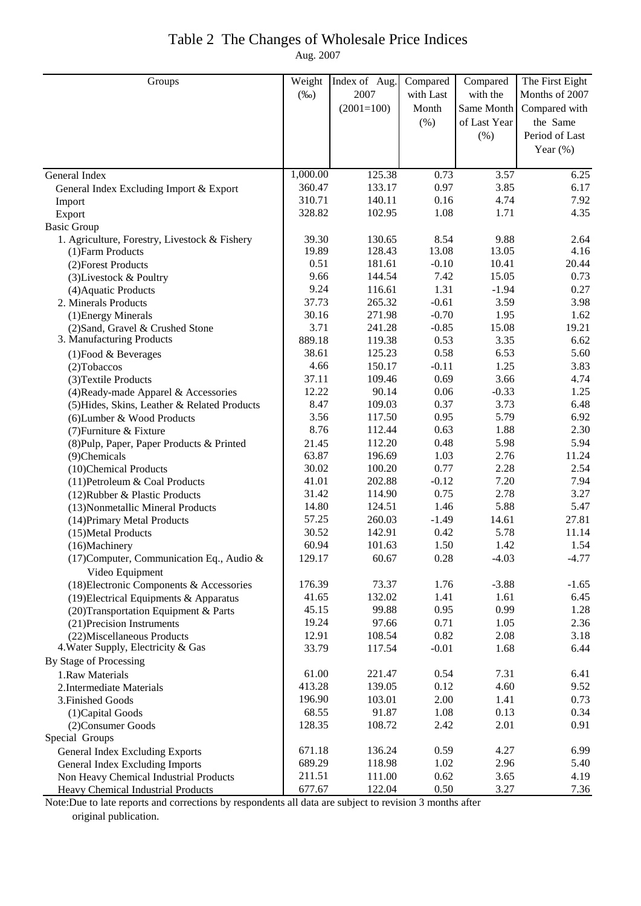### Table 2 The Changes of Wholesale Price Indices

Aug. 2007

| 2007<br>with Last<br>Months of 2007<br>$(\%0)$<br>with the<br>$(2001=100)$<br>Month<br>Same Month<br>Compared with<br>the Same<br>(% )<br>of Last Year<br>Period of Last<br>(% )<br>Year $(\%)$<br>1,000.00<br>125.38<br>0.73<br>3.57<br>6.25<br>General Index<br>360.47<br>133.17<br>0.97<br>3.85<br>6.17<br>General Index Excluding Import & Export<br>310.71<br>140.11<br>0.16<br>4.74<br>7.92<br>Import<br>328.82<br>1.08<br>102.95<br>1.71<br>4.35<br>Export<br><b>Basic Group</b><br>1. Agriculture, Forestry, Livestock & Fishery<br>39.30<br>130.65<br>8.54<br>9.88<br>2.64<br>19.89<br>128.43<br>13.08<br>13.05<br>4.16<br>(1) Farm Products<br>0.51<br>181.61<br>$-0.10$<br>10.41<br>20.44<br>(2) Forest Products<br>9.66<br>144.54<br>7.42<br>15.05<br>0.73<br>(3) Livestock & Poultry<br>9.24<br>116.61<br>1.31<br>$-1.94$<br>0.27<br>(4) Aquatic Products<br>37.73<br>265.32<br>$-0.61$<br>3.59<br>3.98<br>2. Minerals Products<br>30.16<br>$-0.70$<br>271.98<br>1.95<br>1.62<br>(1) Energy Minerals<br>3.71<br>241.28<br>$-0.85$<br>15.08<br>19.21<br>(2) Sand, Gravel & Crushed Stone<br>3. Manufacturing Products<br>889.18<br>119.38<br>0.53<br>3.35<br>6.62<br>38.61<br>125.23<br>0.58<br>6.53<br>5.60<br>$(1)$ Food & Beverages<br>4.66<br>150.17<br>3.83<br>$-0.11$<br>1.25<br>(2) Tobaccos<br>3.66<br>37.11<br>109.46<br>0.69<br>4.74<br>(3) Textile Products<br>12.22<br>90.14<br>0.06<br>$-0.33$<br>1.25<br>(4) Ready-made Apparel & Accessories<br>8.47<br>109.03<br>0.37<br>3.73<br>6.48<br>(5) Hides, Skins, Leather & Related Products<br>3.56<br>117.50<br>0.95<br>5.79<br>6.92<br>(6) Lumber & Wood Products<br>8.76<br>112.44<br>1.88<br>2.30<br>0.63<br>(7) Furniture & Fixture<br>112.20<br>5.98<br>5.94<br>0.48<br>(8) Pulp, Paper, Paper Products & Printed<br>21.45<br>63.87<br>196.69<br>1.03<br>2.76<br>11.24<br>(9)Chemicals<br>30.02<br>0.77<br>2.28<br>2.54<br>100.20<br>(10)Chemical Products<br>41.01<br>202.88<br>$-0.12$<br>7.20<br>7.94<br>(11) Petroleum & Coal Products<br>2.78<br>31.42<br>114.90<br>0.75<br>3.27<br>(12) Rubber & Plastic Products<br>14.80<br>5.88<br>124.51<br>1.46<br>5.47<br>(13) Nonmetallic Mineral Products<br>57.25<br>27.81<br>260.03<br>$-1.49$<br>14.61<br>(14) Primary Metal Products<br>30.52<br>142.91<br>0.42<br>5.78<br>11.14<br>(15) Metal Products<br>60.94<br>101.63<br>1.50<br>1.42<br>1.54<br>(16)Machinery<br>(17) Computer, Communication Eq., Audio $\&$<br>129.17<br>60.67<br>0.28<br>$-4.03$<br>-4.77<br>Video Equipment<br>$-3.88$<br>176.39<br>73.37<br>1.76<br>(18) Electronic Components & Accessories<br>$-1.65$<br>41.65<br>132.02<br>1.41<br>6.45<br>(19) Electrical Equipments & Apparatus<br>1.61<br>45.15<br>99.88<br>0.95<br>0.99<br>1.28<br>(20) Transportation Equipment & Parts<br>19.24<br>97.66<br>0.71<br>2.36<br>(21) Precision Instruments<br>1.05 | Groups | Weight | Index of Aug. | Compared | Compared | The First Eight |
|------------------------------------------------------------------------------------------------------------------------------------------------------------------------------------------------------------------------------------------------------------------------------------------------------------------------------------------------------------------------------------------------------------------------------------------------------------------------------------------------------------------------------------------------------------------------------------------------------------------------------------------------------------------------------------------------------------------------------------------------------------------------------------------------------------------------------------------------------------------------------------------------------------------------------------------------------------------------------------------------------------------------------------------------------------------------------------------------------------------------------------------------------------------------------------------------------------------------------------------------------------------------------------------------------------------------------------------------------------------------------------------------------------------------------------------------------------------------------------------------------------------------------------------------------------------------------------------------------------------------------------------------------------------------------------------------------------------------------------------------------------------------------------------------------------------------------------------------------------------------------------------------------------------------------------------------------------------------------------------------------------------------------------------------------------------------------------------------------------------------------------------------------------------------------------------------------------------------------------------------------------------------------------------------------------------------------------------------------------------------------------------------------------------------------------------------------------------------------------------------------------------------------------------------------------------------------------------------------------------------------------------------------------------------------------------------------------------------------------------------------------------------------------------------------------------------------------------------------------------|--------|--------|---------------|----------|----------|-----------------|
|                                                                                                                                                                                                                                                                                                                                                                                                                                                                                                                                                                                                                                                                                                                                                                                                                                                                                                                                                                                                                                                                                                                                                                                                                                                                                                                                                                                                                                                                                                                                                                                                                                                                                                                                                                                                                                                                                                                                                                                                                                                                                                                                                                                                                                                                                                                                                                                                                                                                                                                                                                                                                                                                                                                                                                                                                                                                  |        |        |               |          |          |                 |
|                                                                                                                                                                                                                                                                                                                                                                                                                                                                                                                                                                                                                                                                                                                                                                                                                                                                                                                                                                                                                                                                                                                                                                                                                                                                                                                                                                                                                                                                                                                                                                                                                                                                                                                                                                                                                                                                                                                                                                                                                                                                                                                                                                                                                                                                                                                                                                                                                                                                                                                                                                                                                                                                                                                                                                                                                                                                  |        |        |               |          |          |                 |
|                                                                                                                                                                                                                                                                                                                                                                                                                                                                                                                                                                                                                                                                                                                                                                                                                                                                                                                                                                                                                                                                                                                                                                                                                                                                                                                                                                                                                                                                                                                                                                                                                                                                                                                                                                                                                                                                                                                                                                                                                                                                                                                                                                                                                                                                                                                                                                                                                                                                                                                                                                                                                                                                                                                                                                                                                                                                  |        |        |               |          |          |                 |
|                                                                                                                                                                                                                                                                                                                                                                                                                                                                                                                                                                                                                                                                                                                                                                                                                                                                                                                                                                                                                                                                                                                                                                                                                                                                                                                                                                                                                                                                                                                                                                                                                                                                                                                                                                                                                                                                                                                                                                                                                                                                                                                                                                                                                                                                                                                                                                                                                                                                                                                                                                                                                                                                                                                                                                                                                                                                  |        |        |               |          |          |                 |
|                                                                                                                                                                                                                                                                                                                                                                                                                                                                                                                                                                                                                                                                                                                                                                                                                                                                                                                                                                                                                                                                                                                                                                                                                                                                                                                                                                                                                                                                                                                                                                                                                                                                                                                                                                                                                                                                                                                                                                                                                                                                                                                                                                                                                                                                                                                                                                                                                                                                                                                                                                                                                                                                                                                                                                                                                                                                  |        |        |               |          |          |                 |
|                                                                                                                                                                                                                                                                                                                                                                                                                                                                                                                                                                                                                                                                                                                                                                                                                                                                                                                                                                                                                                                                                                                                                                                                                                                                                                                                                                                                                                                                                                                                                                                                                                                                                                                                                                                                                                                                                                                                                                                                                                                                                                                                                                                                                                                                                                                                                                                                                                                                                                                                                                                                                                                                                                                                                                                                                                                                  |        |        |               |          |          |                 |
|                                                                                                                                                                                                                                                                                                                                                                                                                                                                                                                                                                                                                                                                                                                                                                                                                                                                                                                                                                                                                                                                                                                                                                                                                                                                                                                                                                                                                                                                                                                                                                                                                                                                                                                                                                                                                                                                                                                                                                                                                                                                                                                                                                                                                                                                                                                                                                                                                                                                                                                                                                                                                                                                                                                                                                                                                                                                  |        |        |               |          |          |                 |
|                                                                                                                                                                                                                                                                                                                                                                                                                                                                                                                                                                                                                                                                                                                                                                                                                                                                                                                                                                                                                                                                                                                                                                                                                                                                                                                                                                                                                                                                                                                                                                                                                                                                                                                                                                                                                                                                                                                                                                                                                                                                                                                                                                                                                                                                                                                                                                                                                                                                                                                                                                                                                                                                                                                                                                                                                                                                  |        |        |               |          |          |                 |
|                                                                                                                                                                                                                                                                                                                                                                                                                                                                                                                                                                                                                                                                                                                                                                                                                                                                                                                                                                                                                                                                                                                                                                                                                                                                                                                                                                                                                                                                                                                                                                                                                                                                                                                                                                                                                                                                                                                                                                                                                                                                                                                                                                                                                                                                                                                                                                                                                                                                                                                                                                                                                                                                                                                                                                                                                                                                  |        |        |               |          |          |                 |
|                                                                                                                                                                                                                                                                                                                                                                                                                                                                                                                                                                                                                                                                                                                                                                                                                                                                                                                                                                                                                                                                                                                                                                                                                                                                                                                                                                                                                                                                                                                                                                                                                                                                                                                                                                                                                                                                                                                                                                                                                                                                                                                                                                                                                                                                                                                                                                                                                                                                                                                                                                                                                                                                                                                                                                                                                                                                  |        |        |               |          |          |                 |
|                                                                                                                                                                                                                                                                                                                                                                                                                                                                                                                                                                                                                                                                                                                                                                                                                                                                                                                                                                                                                                                                                                                                                                                                                                                                                                                                                                                                                                                                                                                                                                                                                                                                                                                                                                                                                                                                                                                                                                                                                                                                                                                                                                                                                                                                                                                                                                                                                                                                                                                                                                                                                                                                                                                                                                                                                                                                  |        |        |               |          |          |                 |
|                                                                                                                                                                                                                                                                                                                                                                                                                                                                                                                                                                                                                                                                                                                                                                                                                                                                                                                                                                                                                                                                                                                                                                                                                                                                                                                                                                                                                                                                                                                                                                                                                                                                                                                                                                                                                                                                                                                                                                                                                                                                                                                                                                                                                                                                                                                                                                                                                                                                                                                                                                                                                                                                                                                                                                                                                                                                  |        |        |               |          |          |                 |
|                                                                                                                                                                                                                                                                                                                                                                                                                                                                                                                                                                                                                                                                                                                                                                                                                                                                                                                                                                                                                                                                                                                                                                                                                                                                                                                                                                                                                                                                                                                                                                                                                                                                                                                                                                                                                                                                                                                                                                                                                                                                                                                                                                                                                                                                                                                                                                                                                                                                                                                                                                                                                                                                                                                                                                                                                                                                  |        |        |               |          |          |                 |
|                                                                                                                                                                                                                                                                                                                                                                                                                                                                                                                                                                                                                                                                                                                                                                                                                                                                                                                                                                                                                                                                                                                                                                                                                                                                                                                                                                                                                                                                                                                                                                                                                                                                                                                                                                                                                                                                                                                                                                                                                                                                                                                                                                                                                                                                                                                                                                                                                                                                                                                                                                                                                                                                                                                                                                                                                                                                  |        |        |               |          |          |                 |
|                                                                                                                                                                                                                                                                                                                                                                                                                                                                                                                                                                                                                                                                                                                                                                                                                                                                                                                                                                                                                                                                                                                                                                                                                                                                                                                                                                                                                                                                                                                                                                                                                                                                                                                                                                                                                                                                                                                                                                                                                                                                                                                                                                                                                                                                                                                                                                                                                                                                                                                                                                                                                                                                                                                                                                                                                                                                  |        |        |               |          |          |                 |
|                                                                                                                                                                                                                                                                                                                                                                                                                                                                                                                                                                                                                                                                                                                                                                                                                                                                                                                                                                                                                                                                                                                                                                                                                                                                                                                                                                                                                                                                                                                                                                                                                                                                                                                                                                                                                                                                                                                                                                                                                                                                                                                                                                                                                                                                                                                                                                                                                                                                                                                                                                                                                                                                                                                                                                                                                                                                  |        |        |               |          |          |                 |
|                                                                                                                                                                                                                                                                                                                                                                                                                                                                                                                                                                                                                                                                                                                                                                                                                                                                                                                                                                                                                                                                                                                                                                                                                                                                                                                                                                                                                                                                                                                                                                                                                                                                                                                                                                                                                                                                                                                                                                                                                                                                                                                                                                                                                                                                                                                                                                                                                                                                                                                                                                                                                                                                                                                                                                                                                                                                  |        |        |               |          |          |                 |
|                                                                                                                                                                                                                                                                                                                                                                                                                                                                                                                                                                                                                                                                                                                                                                                                                                                                                                                                                                                                                                                                                                                                                                                                                                                                                                                                                                                                                                                                                                                                                                                                                                                                                                                                                                                                                                                                                                                                                                                                                                                                                                                                                                                                                                                                                                                                                                                                                                                                                                                                                                                                                                                                                                                                                                                                                                                                  |        |        |               |          |          |                 |
|                                                                                                                                                                                                                                                                                                                                                                                                                                                                                                                                                                                                                                                                                                                                                                                                                                                                                                                                                                                                                                                                                                                                                                                                                                                                                                                                                                                                                                                                                                                                                                                                                                                                                                                                                                                                                                                                                                                                                                                                                                                                                                                                                                                                                                                                                                                                                                                                                                                                                                                                                                                                                                                                                                                                                                                                                                                                  |        |        |               |          |          |                 |
|                                                                                                                                                                                                                                                                                                                                                                                                                                                                                                                                                                                                                                                                                                                                                                                                                                                                                                                                                                                                                                                                                                                                                                                                                                                                                                                                                                                                                                                                                                                                                                                                                                                                                                                                                                                                                                                                                                                                                                                                                                                                                                                                                                                                                                                                                                                                                                                                                                                                                                                                                                                                                                                                                                                                                                                                                                                                  |        |        |               |          |          |                 |
|                                                                                                                                                                                                                                                                                                                                                                                                                                                                                                                                                                                                                                                                                                                                                                                                                                                                                                                                                                                                                                                                                                                                                                                                                                                                                                                                                                                                                                                                                                                                                                                                                                                                                                                                                                                                                                                                                                                                                                                                                                                                                                                                                                                                                                                                                                                                                                                                                                                                                                                                                                                                                                                                                                                                                                                                                                                                  |        |        |               |          |          |                 |
|                                                                                                                                                                                                                                                                                                                                                                                                                                                                                                                                                                                                                                                                                                                                                                                                                                                                                                                                                                                                                                                                                                                                                                                                                                                                                                                                                                                                                                                                                                                                                                                                                                                                                                                                                                                                                                                                                                                                                                                                                                                                                                                                                                                                                                                                                                                                                                                                                                                                                                                                                                                                                                                                                                                                                                                                                                                                  |        |        |               |          |          |                 |
|                                                                                                                                                                                                                                                                                                                                                                                                                                                                                                                                                                                                                                                                                                                                                                                                                                                                                                                                                                                                                                                                                                                                                                                                                                                                                                                                                                                                                                                                                                                                                                                                                                                                                                                                                                                                                                                                                                                                                                                                                                                                                                                                                                                                                                                                                                                                                                                                                                                                                                                                                                                                                                                                                                                                                                                                                                                                  |        |        |               |          |          |                 |
|                                                                                                                                                                                                                                                                                                                                                                                                                                                                                                                                                                                                                                                                                                                                                                                                                                                                                                                                                                                                                                                                                                                                                                                                                                                                                                                                                                                                                                                                                                                                                                                                                                                                                                                                                                                                                                                                                                                                                                                                                                                                                                                                                                                                                                                                                                                                                                                                                                                                                                                                                                                                                                                                                                                                                                                                                                                                  |        |        |               |          |          |                 |
|                                                                                                                                                                                                                                                                                                                                                                                                                                                                                                                                                                                                                                                                                                                                                                                                                                                                                                                                                                                                                                                                                                                                                                                                                                                                                                                                                                                                                                                                                                                                                                                                                                                                                                                                                                                                                                                                                                                                                                                                                                                                                                                                                                                                                                                                                                                                                                                                                                                                                                                                                                                                                                                                                                                                                                                                                                                                  |        |        |               |          |          |                 |
|                                                                                                                                                                                                                                                                                                                                                                                                                                                                                                                                                                                                                                                                                                                                                                                                                                                                                                                                                                                                                                                                                                                                                                                                                                                                                                                                                                                                                                                                                                                                                                                                                                                                                                                                                                                                                                                                                                                                                                                                                                                                                                                                                                                                                                                                                                                                                                                                                                                                                                                                                                                                                                                                                                                                                                                                                                                                  |        |        |               |          |          |                 |
|                                                                                                                                                                                                                                                                                                                                                                                                                                                                                                                                                                                                                                                                                                                                                                                                                                                                                                                                                                                                                                                                                                                                                                                                                                                                                                                                                                                                                                                                                                                                                                                                                                                                                                                                                                                                                                                                                                                                                                                                                                                                                                                                                                                                                                                                                                                                                                                                                                                                                                                                                                                                                                                                                                                                                                                                                                                                  |        |        |               |          |          |                 |
|                                                                                                                                                                                                                                                                                                                                                                                                                                                                                                                                                                                                                                                                                                                                                                                                                                                                                                                                                                                                                                                                                                                                                                                                                                                                                                                                                                                                                                                                                                                                                                                                                                                                                                                                                                                                                                                                                                                                                                                                                                                                                                                                                                                                                                                                                                                                                                                                                                                                                                                                                                                                                                                                                                                                                                                                                                                                  |        |        |               |          |          |                 |
|                                                                                                                                                                                                                                                                                                                                                                                                                                                                                                                                                                                                                                                                                                                                                                                                                                                                                                                                                                                                                                                                                                                                                                                                                                                                                                                                                                                                                                                                                                                                                                                                                                                                                                                                                                                                                                                                                                                                                                                                                                                                                                                                                                                                                                                                                                                                                                                                                                                                                                                                                                                                                                                                                                                                                                                                                                                                  |        |        |               |          |          |                 |
|                                                                                                                                                                                                                                                                                                                                                                                                                                                                                                                                                                                                                                                                                                                                                                                                                                                                                                                                                                                                                                                                                                                                                                                                                                                                                                                                                                                                                                                                                                                                                                                                                                                                                                                                                                                                                                                                                                                                                                                                                                                                                                                                                                                                                                                                                                                                                                                                                                                                                                                                                                                                                                                                                                                                                                                                                                                                  |        |        |               |          |          |                 |
|                                                                                                                                                                                                                                                                                                                                                                                                                                                                                                                                                                                                                                                                                                                                                                                                                                                                                                                                                                                                                                                                                                                                                                                                                                                                                                                                                                                                                                                                                                                                                                                                                                                                                                                                                                                                                                                                                                                                                                                                                                                                                                                                                                                                                                                                                                                                                                                                                                                                                                                                                                                                                                                                                                                                                                                                                                                                  |        |        |               |          |          |                 |
|                                                                                                                                                                                                                                                                                                                                                                                                                                                                                                                                                                                                                                                                                                                                                                                                                                                                                                                                                                                                                                                                                                                                                                                                                                                                                                                                                                                                                                                                                                                                                                                                                                                                                                                                                                                                                                                                                                                                                                                                                                                                                                                                                                                                                                                                                                                                                                                                                                                                                                                                                                                                                                                                                                                                                                                                                                                                  |        |        |               |          |          |                 |
|                                                                                                                                                                                                                                                                                                                                                                                                                                                                                                                                                                                                                                                                                                                                                                                                                                                                                                                                                                                                                                                                                                                                                                                                                                                                                                                                                                                                                                                                                                                                                                                                                                                                                                                                                                                                                                                                                                                                                                                                                                                                                                                                                                                                                                                                                                                                                                                                                                                                                                                                                                                                                                                                                                                                                                                                                                                                  |        |        |               |          |          |                 |
|                                                                                                                                                                                                                                                                                                                                                                                                                                                                                                                                                                                                                                                                                                                                                                                                                                                                                                                                                                                                                                                                                                                                                                                                                                                                                                                                                                                                                                                                                                                                                                                                                                                                                                                                                                                                                                                                                                                                                                                                                                                                                                                                                                                                                                                                                                                                                                                                                                                                                                                                                                                                                                                                                                                                                                                                                                                                  |        |        |               |          |          |                 |
|                                                                                                                                                                                                                                                                                                                                                                                                                                                                                                                                                                                                                                                                                                                                                                                                                                                                                                                                                                                                                                                                                                                                                                                                                                                                                                                                                                                                                                                                                                                                                                                                                                                                                                                                                                                                                                                                                                                                                                                                                                                                                                                                                                                                                                                                                                                                                                                                                                                                                                                                                                                                                                                                                                                                                                                                                                                                  |        |        |               |          |          |                 |
|                                                                                                                                                                                                                                                                                                                                                                                                                                                                                                                                                                                                                                                                                                                                                                                                                                                                                                                                                                                                                                                                                                                                                                                                                                                                                                                                                                                                                                                                                                                                                                                                                                                                                                                                                                                                                                                                                                                                                                                                                                                                                                                                                                                                                                                                                                                                                                                                                                                                                                                                                                                                                                                                                                                                                                                                                                                                  |        |        |               |          |          |                 |
|                                                                                                                                                                                                                                                                                                                                                                                                                                                                                                                                                                                                                                                                                                                                                                                                                                                                                                                                                                                                                                                                                                                                                                                                                                                                                                                                                                                                                                                                                                                                                                                                                                                                                                                                                                                                                                                                                                                                                                                                                                                                                                                                                                                                                                                                                                                                                                                                                                                                                                                                                                                                                                                                                                                                                                                                                                                                  |        |        |               |          |          |                 |
|                                                                                                                                                                                                                                                                                                                                                                                                                                                                                                                                                                                                                                                                                                                                                                                                                                                                                                                                                                                                                                                                                                                                                                                                                                                                                                                                                                                                                                                                                                                                                                                                                                                                                                                                                                                                                                                                                                                                                                                                                                                                                                                                                                                                                                                                                                                                                                                                                                                                                                                                                                                                                                                                                                                                                                                                                                                                  |        |        |               |          |          |                 |
|                                                                                                                                                                                                                                                                                                                                                                                                                                                                                                                                                                                                                                                                                                                                                                                                                                                                                                                                                                                                                                                                                                                                                                                                                                                                                                                                                                                                                                                                                                                                                                                                                                                                                                                                                                                                                                                                                                                                                                                                                                                                                                                                                                                                                                                                                                                                                                                                                                                                                                                                                                                                                                                                                                                                                                                                                                                                  |        |        |               |          |          |                 |
|                                                                                                                                                                                                                                                                                                                                                                                                                                                                                                                                                                                                                                                                                                                                                                                                                                                                                                                                                                                                                                                                                                                                                                                                                                                                                                                                                                                                                                                                                                                                                                                                                                                                                                                                                                                                                                                                                                                                                                                                                                                                                                                                                                                                                                                                                                                                                                                                                                                                                                                                                                                                                                                                                                                                                                                                                                                                  |        |        |               |          |          |                 |
|                                                                                                                                                                                                                                                                                                                                                                                                                                                                                                                                                                                                                                                                                                                                                                                                                                                                                                                                                                                                                                                                                                                                                                                                                                                                                                                                                                                                                                                                                                                                                                                                                                                                                                                                                                                                                                                                                                                                                                                                                                                                                                                                                                                                                                                                                                                                                                                                                                                                                                                                                                                                                                                                                                                                                                                                                                                                  |        |        |               |          |          |                 |
|                                                                                                                                                                                                                                                                                                                                                                                                                                                                                                                                                                                                                                                                                                                                                                                                                                                                                                                                                                                                                                                                                                                                                                                                                                                                                                                                                                                                                                                                                                                                                                                                                                                                                                                                                                                                                                                                                                                                                                                                                                                                                                                                                                                                                                                                                                                                                                                                                                                                                                                                                                                                                                                                                                                                                                                                                                                                  |        |        |               |          |          |                 |
| 12.91<br>108.54<br>0.82<br>2.08<br>3.18<br>(22) Miscellaneous Products<br>4. Water Supply, Electricity & Gas<br>6.44                                                                                                                                                                                                                                                                                                                                                                                                                                                                                                                                                                                                                                                                                                                                                                                                                                                                                                                                                                                                                                                                                                                                                                                                                                                                                                                                                                                                                                                                                                                                                                                                                                                                                                                                                                                                                                                                                                                                                                                                                                                                                                                                                                                                                                                                                                                                                                                                                                                                                                                                                                                                                                                                                                                                             |        |        |               |          |          |                 |
| 33.79<br>$-0.01$<br>1.68<br>117.54                                                                                                                                                                                                                                                                                                                                                                                                                                                                                                                                                                                                                                                                                                                                                                                                                                                                                                                                                                                                                                                                                                                                                                                                                                                                                                                                                                                                                                                                                                                                                                                                                                                                                                                                                                                                                                                                                                                                                                                                                                                                                                                                                                                                                                                                                                                                                                                                                                                                                                                                                                                                                                                                                                                                                                                                                               |        |        |               |          |          |                 |
| By Stage of Processing                                                                                                                                                                                                                                                                                                                                                                                                                                                                                                                                                                                                                                                                                                                                                                                                                                                                                                                                                                                                                                                                                                                                                                                                                                                                                                                                                                                                                                                                                                                                                                                                                                                                                                                                                                                                                                                                                                                                                                                                                                                                                                                                                                                                                                                                                                                                                                                                                                                                                                                                                                                                                                                                                                                                                                                                                                           |        |        |               |          |          |                 |
| 61.00<br>221.47<br>0.54<br>1.Raw Materials<br>7.31<br>6.41<br>413.28<br>139.05<br>0.12<br>4.60<br>9.52                                                                                                                                                                                                                                                                                                                                                                                                                                                                                                                                                                                                                                                                                                                                                                                                                                                                                                                                                                                                                                                                                                                                                                                                                                                                                                                                                                                                                                                                                                                                                                                                                                                                                                                                                                                                                                                                                                                                                                                                                                                                                                                                                                                                                                                                                                                                                                                                                                                                                                                                                                                                                                                                                                                                                           |        |        |               |          |          |                 |
| 2. Intermediate Materials<br>196.90<br>2.00<br>0.73<br>103.01<br>1.41                                                                                                                                                                                                                                                                                                                                                                                                                                                                                                                                                                                                                                                                                                                                                                                                                                                                                                                                                                                                                                                                                                                                                                                                                                                                                                                                                                                                                                                                                                                                                                                                                                                                                                                                                                                                                                                                                                                                                                                                                                                                                                                                                                                                                                                                                                                                                                                                                                                                                                                                                                                                                                                                                                                                                                                            |        |        |               |          |          |                 |
| 3. Finished Goods<br>68.55<br>91.87<br>1.08<br>0.34<br>0.13                                                                                                                                                                                                                                                                                                                                                                                                                                                                                                                                                                                                                                                                                                                                                                                                                                                                                                                                                                                                                                                                                                                                                                                                                                                                                                                                                                                                                                                                                                                                                                                                                                                                                                                                                                                                                                                                                                                                                                                                                                                                                                                                                                                                                                                                                                                                                                                                                                                                                                                                                                                                                                                                                                                                                                                                      |        |        |               |          |          |                 |
| (1) Capital Goods<br>128.35<br>2.01<br>0.91                                                                                                                                                                                                                                                                                                                                                                                                                                                                                                                                                                                                                                                                                                                                                                                                                                                                                                                                                                                                                                                                                                                                                                                                                                                                                                                                                                                                                                                                                                                                                                                                                                                                                                                                                                                                                                                                                                                                                                                                                                                                                                                                                                                                                                                                                                                                                                                                                                                                                                                                                                                                                                                                                                                                                                                                                      |        |        |               |          |          |                 |
| 108.72<br>2.42<br>(2) Consumer Goods                                                                                                                                                                                                                                                                                                                                                                                                                                                                                                                                                                                                                                                                                                                                                                                                                                                                                                                                                                                                                                                                                                                                                                                                                                                                                                                                                                                                                                                                                                                                                                                                                                                                                                                                                                                                                                                                                                                                                                                                                                                                                                                                                                                                                                                                                                                                                                                                                                                                                                                                                                                                                                                                                                                                                                                                                             |        |        |               |          |          |                 |
| Special Groups<br>136.24<br>6.99<br>671.18<br>0.59<br>4.27                                                                                                                                                                                                                                                                                                                                                                                                                                                                                                                                                                                                                                                                                                                                                                                                                                                                                                                                                                                                                                                                                                                                                                                                                                                                                                                                                                                                                                                                                                                                                                                                                                                                                                                                                                                                                                                                                                                                                                                                                                                                                                                                                                                                                                                                                                                                                                                                                                                                                                                                                                                                                                                                                                                                                                                                       |        |        |               |          |          |                 |
| General Index Excluding Exports<br>689.29<br>118.98<br>1.02<br>2.96<br>5.40                                                                                                                                                                                                                                                                                                                                                                                                                                                                                                                                                                                                                                                                                                                                                                                                                                                                                                                                                                                                                                                                                                                                                                                                                                                                                                                                                                                                                                                                                                                                                                                                                                                                                                                                                                                                                                                                                                                                                                                                                                                                                                                                                                                                                                                                                                                                                                                                                                                                                                                                                                                                                                                                                                                                                                                      |        |        |               |          |          |                 |
| General Index Excluding Imports<br>211.51<br>111.00<br>0.62<br>4.19<br>3.65<br>Non Heavy Chemical Industrial Products                                                                                                                                                                                                                                                                                                                                                                                                                                                                                                                                                                                                                                                                                                                                                                                                                                                                                                                                                                                                                                                                                                                                                                                                                                                                                                                                                                                                                                                                                                                                                                                                                                                                                                                                                                                                                                                                                                                                                                                                                                                                                                                                                                                                                                                                                                                                                                                                                                                                                                                                                                                                                                                                                                                                            |        |        |               |          |          |                 |
| 3.27<br>677.67<br>122.04<br>0.50<br>7.36<br>Heavy Chemical Industrial Products                                                                                                                                                                                                                                                                                                                                                                                                                                                                                                                                                                                                                                                                                                                                                                                                                                                                                                                                                                                                                                                                                                                                                                                                                                                                                                                                                                                                                                                                                                                                                                                                                                                                                                                                                                                                                                                                                                                                                                                                                                                                                                                                                                                                                                                                                                                                                                                                                                                                                                                                                                                                                                                                                                                                                                                   |        |        |               |          |          |                 |

Note:Due to late reports and corrections by respondents all data are subject to revision 3 months after original publication.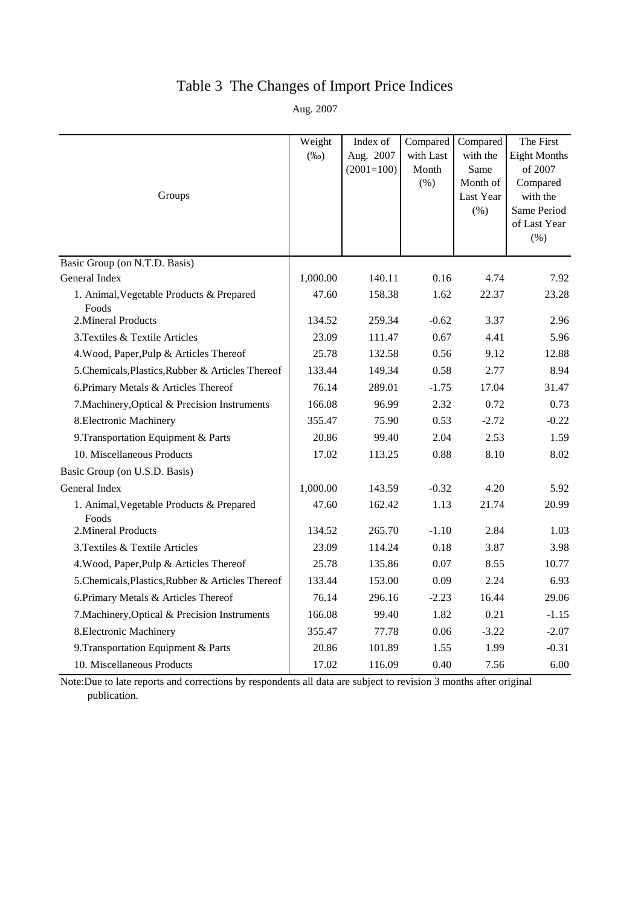## Table 3 The Changes of Import Price Indices

Aug. 2007

|                                                   | Weight   | Index of     | Compared  | Compared          | The First               |
|---------------------------------------------------|----------|--------------|-----------|-------------------|-------------------------|
|                                                   | $(\%0)$  | Aug. 2007    | with Last | with the          | <b>Eight Months</b>     |
|                                                   |          | $(2001=100)$ | Month     | Same              | of 2007                 |
|                                                   |          |              | (% )      | Month of          | Compared                |
| Groups                                            |          |              |           | Last Year<br>(% ) | with the<br>Same Period |
|                                                   |          |              |           |                   | of Last Year            |
|                                                   |          |              |           |                   | (% )                    |
| Basic Group (on N.T.D. Basis)                     |          |              |           |                   |                         |
| General Index                                     | 1,000.00 | 140.11       | 0.16      | 4.74              | 7.92                    |
| 1. Animal, Vegetable Products & Prepared          | 47.60    | 158.38       | 1.62      | 22.37             | 23.28                   |
| Foods<br>2. Mineral Products                      | 134.52   | 259.34       | $-0.62$   | 3.37              | 2.96                    |
| 3. Textiles & Textile Articles                    | 23.09    | 111.47       | 0.67      | 4.41              | 5.96                    |
| 4. Wood, Paper, Pulp & Articles Thereof           | 25.78    | 132.58       | 0.56      | 9.12              | 12.88                   |
| 5. Chemicals, Plastics, Rubber & Articles Thereof | 133.44   | 149.34       | 0.58      | 2.77              | 8.94                    |
| 6. Primary Metals & Articles Thereof              | 76.14    | 289.01       | $-1.75$   | 17.04             | 31.47                   |
| 7. Machinery, Optical & Precision Instruments     | 166.08   | 96.99        | 2.32      | 0.72              | 0.73                    |
| 8. Electronic Machinery                           | 355.47   | 75.90        | 0.53      | $-2.72$           | $-0.22$                 |
| 9. Transportation Equipment & Parts               | 20.86    | 99.40        | 2.04      | 2.53              | 1.59                    |
| 10. Miscellaneous Products                        | 17.02    | 113.25       | 0.88      | 8.10              | 8.02                    |
| Basic Group (on U.S.D. Basis)                     |          |              |           |                   |                         |
| General Index                                     | 1,000.00 | 143.59       | $-0.32$   | 4.20              | 5.92                    |
| 1. Animal, Vegetable Products & Prepared<br>Foods | 47.60    | 162.42       | 1.13      | 21.74             | 20.99                   |
| 2. Mineral Products                               | 134.52   | 265.70       | $-1.10$   | 2.84              | 1.03                    |
| 3. Textiles & Textile Articles                    | 23.09    | 114.24       | 0.18      | 3.87              | 3.98                    |
| 4. Wood, Paper, Pulp & Articles Thereof           | 25.78    | 135.86       | 0.07      | 8.55              | 10.77                   |
| 5. Chemicals, Plastics, Rubber & Articles Thereof | 133.44   | 153.00       | 0.09      | 2.24              | 6.93                    |
| 6. Primary Metals & Articles Thereof              | 76.14    | 296.16       | $-2.23$   | 16.44             | 29.06                   |
| 7. Machinery, Optical & Precision Instruments     | 166.08   | 99.40        | 1.82      | 0.21              | $-1.15$                 |
| 8. Electronic Machinery                           | 355.47   | 77.78        | 0.06      | $-3.22$           | $-2.07$                 |
| 9. Transportation Equipment & Parts               | 20.86    | 101.89       | 1.55      | 1.99              | $-0.31$                 |
| 10. Miscellaneous Products                        | 17.02    | 116.09       | 0.40      | 7.56              | 6.00                    |

Note:Due to late reports and corrections by respondents all data are subject to revision 3 months after original publication.